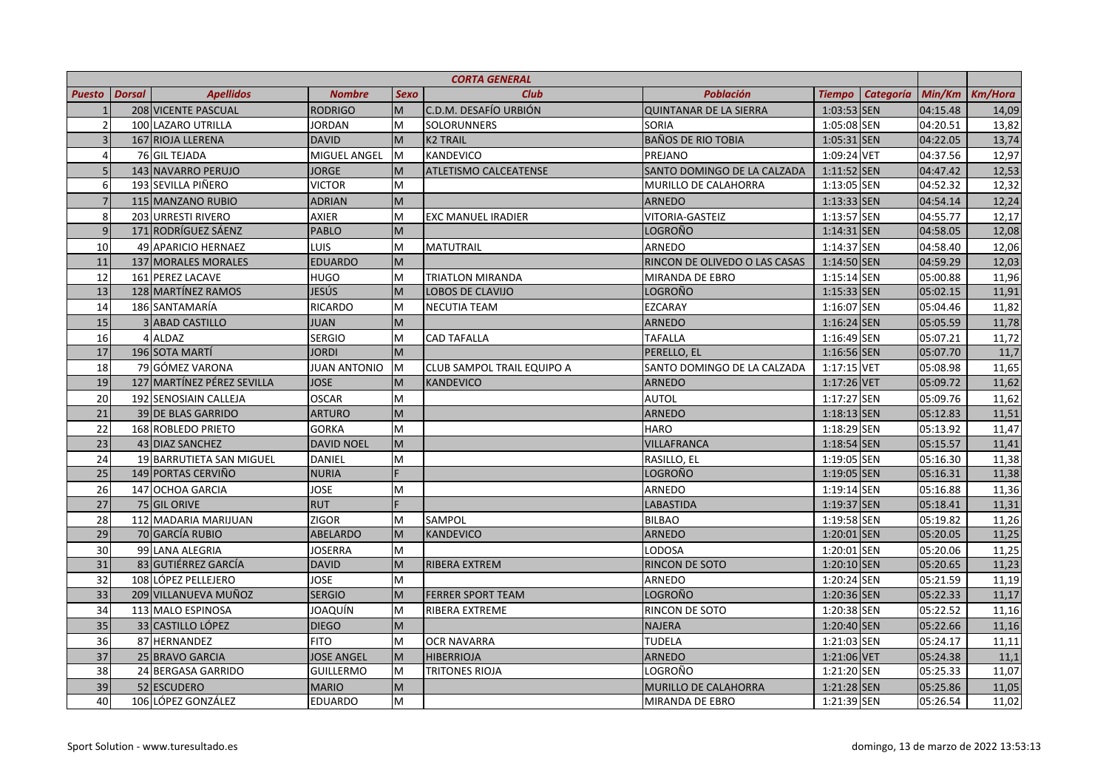| <b>CORTA GENERAL</b>     |               |                            |                     |                                                                                                            |                              |                               |               |                  |          |                |
|--------------------------|---------------|----------------------------|---------------------|------------------------------------------------------------------------------------------------------------|------------------------------|-------------------------------|---------------|------------------|----------|----------------|
| <b>Puesto</b>            | <b>Dorsal</b> | <b>Apellidos</b>           | <b>Nombre</b>       | <b>Sexo</b>                                                                                                | <b>Club</b>                  | <b>Población</b>              | <b>Tiempo</b> | <b>Categoría</b> | Min/Km   | <b>Km/Hora</b> |
|                          |               | 208 VICENTE PASCUAL        | <b>RODRIGO</b>      | M                                                                                                          | C.D.M. DESAFÍO URBIÓN        | <b>QUINTANAR DE LA SIERRA</b> | 1:03:53 SEN   |                  | 04:15.48 | 14,09          |
| $\overline{\phantom{a}}$ |               | 100 LAZARO UTRILLA         | <b>JORDAN</b>       | M                                                                                                          | <b>SOLORUNNERS</b>           | <b>SORIA</b>                  | 1:05:08 SEN   |                  | 04:20.51 | 13,82          |
| $\overline{3}$           |               | 167 RIOJA LLERENA          | <b>DAVID</b>        | M                                                                                                          | <b>K2 TRAIL</b>              | <b>BAÑOS DE RIO TOBIA</b>     | 1:05:31 SEN   |                  | 04:22.05 | 13,74          |
| 4                        |               | 76 GIL TEJADA              | MIGUEL ANGEL        | M                                                                                                          | KANDEVICO                    | PREJANO                       | 1:09:24 VET   |                  | 04:37.56 | 12,97          |
| $\overline{5}$           |               | 143 NAVARRO PERUJO         | <b>JORGE</b>        | M                                                                                                          | <b>ATLETISMO CALCEATENSE</b> | SANTO DOMINGO DE LA CALZADA   | $1:11:52$ SEN |                  | 04:47.42 | 12,53          |
| 6                        |               | 193 SEVILLA PIÑERO         | <b>VICTOR</b>       | M                                                                                                          |                              | MURILLO DE CALAHORRA          | 1:13:05 SEN   |                  | 04:52.32 | 12,32          |
| $\overline{7}$           |               | 115 MANZANO RUBIO          | <b>ADRIAN</b>       | $\mathsf{M}% _{T}=\mathsf{M}_{T}\!\left( a,b\right) ,\ \mathsf{M}_{T}=\mathsf{M}_{T}\!\left( a,b\right) ,$ |                              | <b>ARNEDO</b>                 | $1:13:33$ SEN |                  | 04:54.14 | 12,24          |
| 8                        |               | 203 URRESTI RIVERO         | <b>AXIER</b>        | M                                                                                                          | <b>EXC MANUEL IRADIER</b>    | VITORIA-GASTEIZ               | 1:13:57 SEN   |                  | 04:55.77 | 12,17          |
| 9                        |               | 171 RODRÍGUEZ SÁENZ        | <b>PABLO</b>        | M                                                                                                          |                              | LOGROÑO                       | $1:14:31$ SEN |                  | 04:58.05 | 12,08          |
| 10                       |               | 49 APARICIO HERNAEZ        | LUIS                | M                                                                                                          | <b>MATUTRAIL</b>             | ARNEDO                        | 1:14:37 SEN   |                  | 04:58.40 | 12,06          |
| 11                       |               | 137 MORALES MORALES        | <b>EDUARDO</b>      | M                                                                                                          |                              | RINCON DE OLIVEDO O LAS CASAS | 1:14:50 SEN   |                  | 04:59.29 | 12,03          |
| 12                       |               | 161 PEREZ LACAVE           | <b>HUGO</b>         | M                                                                                                          | <b>TRIATLON MIRANDA</b>      | MIRANDA DE EBRO               | $1:15:14$ SEN |                  | 05:00.88 | 11,96          |
| 13                       |               | 128 MARTÍNEZ RAMOS         | JESÚS               | M                                                                                                          | <b>LOBOS DE CLAVIJO</b>      | <b>LOGROÑO</b>                | $1:15:33$ SEN |                  | 05:02.15 | 11,91          |
| 14                       |               | 186 SANTAMARÍA             | <b>RICARDO</b>      | M                                                                                                          | <b>NECUTIA TEAM</b>          | <b>EZCARAY</b>                | 1:16:07 SEN   |                  | 05:04.46 | 11,82          |
| 15                       |               | 3 ABAD CASTILLO            | <b>JUAN</b>         | M                                                                                                          |                              | <b>ARNEDO</b>                 | $1:16:24$ SEN |                  | 05:05.59 | 11,78          |
| 16                       |               | 4 ALDAZ                    | <b>SERGIO</b>       | M                                                                                                          | <b>CAD TAFALLA</b>           | <b>TAFALLA</b>                | 1:16:49 SEN   |                  | 05:07.21 | 11,72          |
| 17                       |               | 196 SOTA MARTÍ             | <b>JORDI</b>        | M                                                                                                          |                              | PERELLO, EL                   | 1:16:56 SEN   |                  | 05:07.70 | 11,7           |
| 18                       |               | 79 GÓMEZ VARONA            | <b>JUAN ANTONIO</b> | M                                                                                                          | CLUB SAMPOL TRAIL EQUIPO A   | SANTO DOMINGO DE LA CALZADA   | 1:17:15 VET   |                  | 05:08.98 | 11,65          |
| 19                       |               | 127 MARTÍNEZ PÉREZ SEVILLA | <b>JOSE</b>         | $\mathsf{M}% _{T}=\mathsf{M}_{T}\!\left( a,b\right) ,\ \mathsf{M}_{T}=\mathsf{M}_{T}\!\left( a,b\right) ,$ | <b>KANDEVICO</b>             | <b>ARNEDO</b>                 | 1:17:26 VET   |                  | 05:09.72 | 11,62          |
| 20                       |               | 192 SENOSIAIN CALLEJA      | <b>OSCAR</b>        | M                                                                                                          |                              | <b>AUTOL</b>                  | 1:17:27 SEN   |                  | 05:09.76 | 11,62          |
| 21                       |               | 39 DE BLAS GARRIDO         | <b>ARTURO</b>       | M                                                                                                          |                              | <b>ARNEDO</b>                 | $1:18:13$ SEN |                  | 05:12.83 | 11,51          |
| 22                       |               | 168 ROBLEDO PRIETO         | <b>GORKA</b>        | M                                                                                                          |                              | <b>HARO</b>                   | 1:18:29 SEN   |                  | 05:13.92 | 11,47          |
| 23                       |               | 43 DIAZ SANCHEZ            | <b>DAVID NOEL</b>   | $\mathsf{M}% _{T}=\mathsf{M}_{T}\!\left( a,b\right) ,\ \mathsf{M}_{T}=\mathsf{M}_{T}\!\left( a,b\right) ,$ |                              | <b>VILLAFRANCA</b>            | $1:18:54$ SEN |                  | 05:15.57 | 11,41          |
| 24                       |               | 19 BARRUTIETA SAN MIGUEL   | <b>DANIEL</b>       | M                                                                                                          |                              | RASILLO, EL                   | 1:19:05 SEN   |                  | 05:16.30 | 11,38          |
| 25                       |               | 149 PORTAS CERVIÑO         | <b>NURIA</b>        |                                                                                                            |                              | LOGROÑO                       | 1:19:05 SEN   |                  | 05:16.31 | 11,38          |
| 26                       |               | 147 OCHOA GARCIA           | <b>JOSE</b>         | M                                                                                                          |                              | ARNEDO                        | 1:19:14 SEN   |                  | 05:16.88 | 11,36          |
| 27                       |               | 75 GIL ORIVE               | <b>RUT</b>          |                                                                                                            |                              | LABASTIDA                     | 1:19:37 SEN   |                  | 05:18.41 | 11,31          |
| 28                       |               | 112 MADARIA MARIJUAN       | ZIGOR               | M                                                                                                          | SAMPOL                       | <b>BILBAO</b>                 | 1:19:58 SEN   |                  | 05:19.82 | 11,26          |
| 29                       |               | 70 GARCÍA RUBIO            | <b>ABELARDO</b>     | M                                                                                                          | KANDEVICO                    | <b>ARNEDO</b>                 | 1:20:01 SEN   |                  | 05:20.05 | 11,25          |
| 30                       |               | 99 LANA ALEGRIA            | <b>JOSERRA</b>      | M                                                                                                          |                              | LODOSA                        | 1:20:01 SEN   |                  | 05:20.06 | 11,25          |
| 31                       |               | 83 GUTIÉRREZ GARCÍA        | <b>DAVID</b>        | $\mathsf{M}% _{T}=\mathsf{M}_{T}\!\left( a,b\right) ,\ \mathsf{M}_{T}=\mathsf{M}_{T}\!\left( a,b\right) ,$ | RIBERA EXTREM                | RINCON DE SOTO                | $1:20:10$ SEN |                  | 05:20.65 | 11,23          |
| 32                       |               | 108 LÓPEZ PELLEJERO        | <b>JOSE</b>         | M                                                                                                          |                              | ARNEDO                        | 1:20:24 SEN   |                  | 05:21.59 | 11,19          |
| 33                       |               | 209 VILLANUEVA MUÑOZ       | <b>SERGIO</b>       | M                                                                                                          | <b>FERRER SPORT TEAM</b>     | LOGROÑO                       | 1:20:36 SEN   |                  | 05:22.33 | 11,17          |
| 34                       |               | 113 MALO ESPINOSA          | JOAQUÍN             | M                                                                                                          | RIBERA EXTREME               | RINCON DE SOTO                | 1:20:38 SEN   |                  | 05:22.52 | 11,16          |
| 35                       |               | 33 CASTILLO LÓPEZ          | <b>DIEGO</b>        | M                                                                                                          |                              | <b>NAJERA</b>                 | 1:20:40 SEN   |                  | 05:22.66 | 11,16          |
| 36                       |               | 87 HERNANDEZ               | <b>FITO</b>         | M                                                                                                          | <b>OCR NAVARRA</b>           | <b>TUDELA</b>                 | 1:21:03 SEN   |                  | 05:24.17 | 11,11          |
| 37                       |               | 25 BRAVO GARCIA            | <b>JOSE ANGEL</b>   | M                                                                                                          | <b>HIBERRIOJA</b>            | <b>ARNEDO</b>                 | 1:21:06 VET   |                  | 05:24.38 | 11,1           |
| 38                       |               | 24 BERGASA GARRIDO         | GUILLERMO           | M                                                                                                          | <b>TRITONES RIOJA</b>        | LOGROÑO                       | 1:21:20 SEN   |                  | 05:25.33 | 11,07          |
| 39                       |               | 52 ESCUDERO                | <b>MARIO</b>        | $\mathsf{M}% _{T}=\mathsf{M}_{T}\!\left( a,b\right) ,\ \mathsf{M}_{T}=\mathsf{M}_{T}\!\left( a,b\right) ,$ |                              | MURILLO DE CALAHORRA          | 1:21:28 SEN   |                  | 05:25.86 | 11,05          |
| 40                       |               | 106 LÓPEZ GONZÁLEZ         | <b>EDUARDO</b>      | M                                                                                                          |                              | MIRANDA DE EBRO               | 1:21:39 SEN   |                  | 05:26.54 | 11,02          |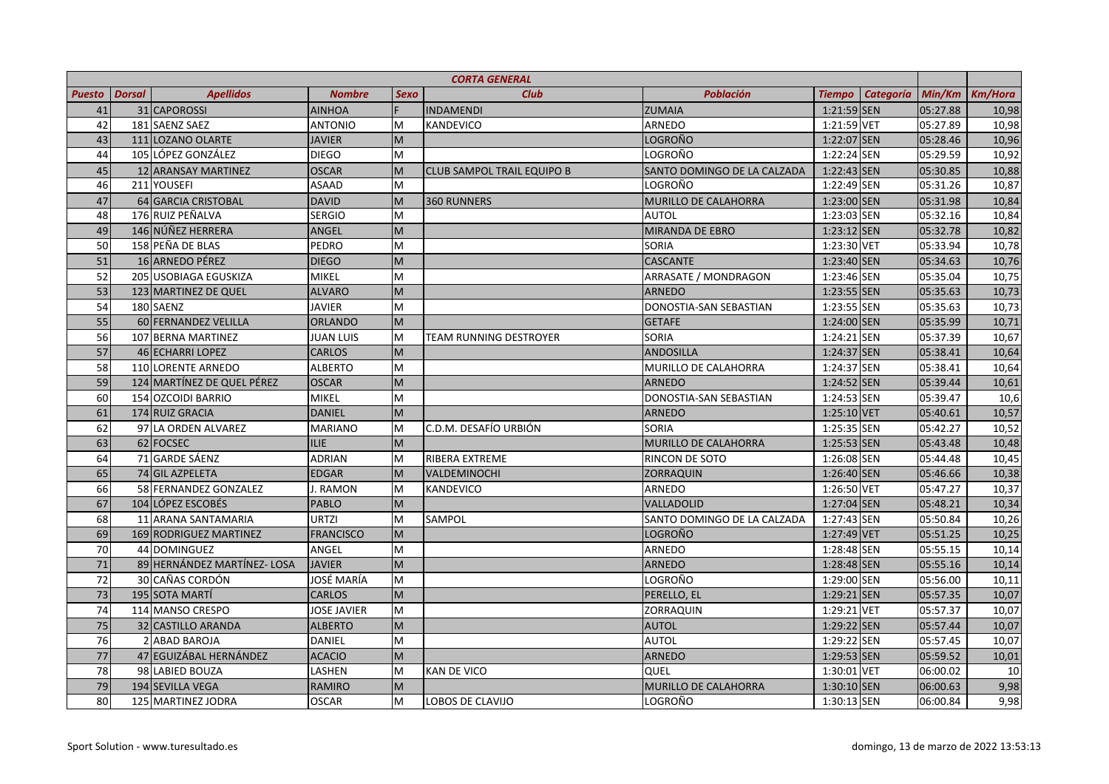|               | <b>CORTA GENERAL</b> |                             |                    |                                                                                                            |                                   |                             |               |                  |          |                |
|---------------|----------------------|-----------------------------|--------------------|------------------------------------------------------------------------------------------------------------|-----------------------------------|-----------------------------|---------------|------------------|----------|----------------|
| <b>Puesto</b> | <b>Dorsal</b>        | <b>Apellidos</b>            | <b>Nombre</b>      | <b>Sexo</b>                                                                                                | <b>Club</b>                       | <b>Población</b>            | Tiempo        | <b>Categoría</b> | Min/Km   | <b>Km/Hora</b> |
| 41            |                      | 31 CAPOROSSI                | <b>AINHOA</b>      |                                                                                                            | <b>INDAMENDI</b>                  | <b>ZUMAIA</b>               | 1:21:59 SEN   |                  | 05:27.88 | 10,98          |
| 42            |                      | 181 SAENZ SAEZ              | <b>ANTONIO</b>     | M                                                                                                          | <b>KANDEVICO</b>                  | ARNEDO                      | 1:21:59 VET   |                  | 05:27.89 | 10,98          |
| 43            |                      | 111 LOZANO OLARTE           | <b>JAVIER</b>      | $\mathsf{M}% _{T}=\mathsf{M}_{T}\!\left( a,b\right) ,\ \mathsf{M}_{T}=\mathsf{M}_{T}\!\left( a,b\right) ,$ |                                   | LOGROÑO                     | 1:22:07 SEN   |                  | 05:28.46 | 10,96          |
| 44            |                      | 105 LÓPEZ GONZÁLEZ          | <b>DIEGO</b>       | M                                                                                                          |                                   | LOGROÑO                     | 1:22:24 SEN   |                  | 05:29.59 | 10,92          |
| 45            |                      | 12 ARANSAY MARTINEZ         | <b>OSCAR</b>       | M                                                                                                          | <b>CLUB SAMPOL TRAIL EQUIPO B</b> | SANTO DOMINGO DE LA CALZADA | 1:22:43 SEN   |                  | 05:30.85 | 10,88          |
| 46            |                      | 211 YOUSEFI                 | <b>ASAAD</b>       | M                                                                                                          |                                   | LOGROÑO                     | 1:22:49 SEN   |                  | 05:31.26 | 10,87          |
| 47            |                      | 64 GARCIA CRISTOBAL         | <b>DAVID</b>       | M                                                                                                          | <b>360 RUNNERS</b>                | <b>MURILLO DE CALAHORRA</b> | 1:23:00 SEN   |                  | 05:31.98 | 10,84          |
| 48            |                      | 176 RUIZ PEÑALVA            | <b>SERGIO</b>      | M                                                                                                          |                                   | <b>AUTOL</b>                | 1:23:03 SEN   |                  | 05:32.16 | 10,84          |
| 49            |                      | 146 NÚÑEZ HERRERA           | ANGEL              | M                                                                                                          |                                   | MIRANDA DE EBRO             | $1:23:12$ SEN |                  | 05:32.78 | 10,82          |
| 50            |                      | 158 PEÑA DE BLAS            | <b>PEDRO</b>       | M                                                                                                          |                                   | <b>SORIA</b>                | 1:23:30 VET   |                  | 05:33.94 | 10,78          |
| 51            |                      | 16 ARNEDO PÉREZ             | <b>DIEGO</b>       | M                                                                                                          |                                   | <b>CASCANTE</b>             | 1:23:40 SEN   |                  | 05:34.63 | 10,76          |
| 52            |                      | 205 USOBIAGA EGUSKIZA       | <b>MIKEL</b>       | M                                                                                                          |                                   | ARRASATE / MONDRAGON        | 1:23:46 SEN   |                  | 05:35.04 | 10,75          |
| 53            |                      | 123 MARTINEZ DE QUEL        | <b>ALVARO</b>      | M                                                                                                          |                                   | <b>ARNEDO</b>               | 1:23:55 SEN   |                  | 05:35.63 | 10,73          |
| 54            |                      | 180 SAENZ                   | <b>JAVIER</b>      | M                                                                                                          |                                   | DONOSTIA-SAN SEBASTIAN      | 1:23:55 SEN   |                  | 05:35.63 | 10,73          |
| 55            |                      | 60 FERNANDEZ VELILLA        | <b>ORLANDO</b>     | M                                                                                                          |                                   | <b>GETAFE</b>               | 1:24:00 SEN   |                  | 05:35.99 | 10,71          |
| 56            |                      | 107 BERNA MARTINEZ          | <b>JUAN LUIS</b>   | M                                                                                                          | TEAM RUNNING DESTROYER            | SORIA                       | 1:24:21 SEN   |                  | 05:37.39 | 10,67          |
| 57            |                      | 46 ECHARRI LOPEZ            | <b>CARLOS</b>      | M                                                                                                          |                                   | <b>ANDOSILLA</b>            | 1:24:37 SEN   |                  | 05:38.41 | 10,64          |
| 58            |                      | 110 LORENTE ARNEDO          | <b>ALBERTO</b>     | M                                                                                                          |                                   | MURILLO DE CALAHORRA        | 1:24:37 SEN   |                  | 05:38.41 | 10,64          |
| 59            |                      | 124 MARTÍNEZ DE QUEL PÉREZ  | <b>OSCAR</b>       | M                                                                                                          |                                   | <b>ARNEDO</b>               | 1:24:52 SEN   |                  | 05:39.44 | 10,61          |
| 60            |                      | 154 OZCOIDI BARRIO          | <b>MIKEL</b>       | M                                                                                                          |                                   | DONOSTIA-SAN SEBASTIAN      | 1:24:53 SEN   |                  | 05:39.47 | 10,6           |
| 61            |                      | 174 RUIZ GRACIA             | <b>DANIEL</b>      | M                                                                                                          |                                   | <b>ARNEDO</b>               | $1:25:10$ VET |                  | 05:40.61 | 10,57          |
| 62            |                      | 97 LA ORDEN ALVAREZ         | <b>MARIANO</b>     | M                                                                                                          | C.D.M. DESAFÍO URBIÓN             | SORIA                       | 1:25:35 SEN   |                  | 05:42.27 | 10,52          |
| 63            |                      | 62 FOCSEC                   | <b>ILIE</b>        | M                                                                                                          |                                   | MURILLO DE CALAHORRA        | 1:25:53 SEN   |                  | 05:43.48 | 10,48          |
| 64            |                      | 71 GARDE SÁENZ              | <b>ADRIAN</b>      | M                                                                                                          | <b>RIBERA EXTREME</b>             | RINCON DE SOTO              | 1:26:08 SEN   |                  | 05:44.48 | 10,45          |
| 65            |                      | 74 GIL AZPELETA             | <b>EDGAR</b>       | M                                                                                                          | VALDEMINOCHI                      | <b>ZORRAQUIN</b>            | 1:26:40 SEN   |                  | 05:46.66 | 10,38          |
| 66            |                      | 58 FERNANDEZ GONZALEZ       | J. RAMON           | M                                                                                                          | <b>KANDEVICO</b>                  | <b>ARNEDO</b>               | 1:26:50 VET   |                  | 05:47.27 | 10,37          |
| 67            |                      | 104 LÓPEZ ESCOBÉS           | <b>PABLO</b>       | M                                                                                                          |                                   | <b>VALLADOLID</b>           | 1:27:04 SEN   |                  | 05:48.21 | 10,34          |
| 68            |                      | 11 ARANA SANTAMARIA         | <b>URTZI</b>       | M                                                                                                          | SAMPOL                            | SANTO DOMINGO DE LA CALZADA | 1:27:43 SEN   |                  | 05:50.84 | 10,26          |
| 69            |                      | 169 RODRIGUEZ MARTINEZ      | <b>FRANCISCO</b>   | M                                                                                                          |                                   | LOGROÑO                     | 1:27:49 VET   |                  | 05:51.25 | 10,25          |
| 70            |                      | 44 DOMINGUEZ                | ANGEL              | M                                                                                                          |                                   | ARNEDO                      | 1:28:48 SEN   |                  | 05:55.15 | 10,14          |
| 71            |                      | 89 HERNÁNDEZ MARTÍNEZ- LOSA | <b>JAVIER</b>      | M                                                                                                          |                                   | <b>ARNEDO</b>               | 1:28:48 SEN   |                  | 05:55.16 | 10,14          |
| 72            |                      | 30 CAÑAS CORDÓN             | JOSÉ MARÍA         | M                                                                                                          |                                   | LOGROÑO                     | 1:29:00 SEN   |                  | 05:56.00 | 10,11          |
| 73            |                      | 195 SOTA MARTÍ              | <b>CARLOS</b>      | M                                                                                                          |                                   | PERELLO, EL                 | 1:29:21 SEN   |                  | 05:57.35 | 10,07          |
| 74            |                      | 114 MANSO CRESPO            | <b>JOSE JAVIER</b> | M                                                                                                          |                                   | ZORRAQUIN                   | 1:29:21 VET   |                  | 05:57.37 | 10,07          |
| 75            |                      | 32 CASTILLO ARANDA          | <b>ALBERTO</b>     | M                                                                                                          |                                   | <b>AUTOL</b>                | 1:29:22 SEN   |                  | 05:57.44 | 10,07          |
| 76            |                      | 2 ABAD BAROJA               | <b>DANIEL</b>      | M                                                                                                          |                                   | AUTOL                       | 1:29:22 SEN   |                  | 05:57.45 | 10,07          |
| 77            |                      | 47 EGUIZÁBAL HERNÁNDEZ      | <b>ACACIO</b>      | M                                                                                                          |                                   | <b>ARNEDO</b>               | 1:29:53 SEN   |                  | 05:59.52 | 10,01          |
| 78            |                      | 98 LABIED BOUZA             | LASHEN             | M                                                                                                          | <b>KAN DE VICO</b>                | QUEL                        | 1:30:01 VET   |                  | 06:00.02 | 10             |
| 79            |                      | 194 SEVILLA VEGA            | <b>RAMIRO</b>      | M                                                                                                          |                                   | <b>MURILLO DE CALAHORRA</b> | $1:30:10$ SEN |                  | 06:00.63 | 9,98           |
| 80            |                      | 125 MARTINEZ JODRA          | <b>OSCAR</b>       | M                                                                                                          | LOBOS DE CLAVIJO                  | LOGROÑO                     | 1:30:13 SEN   |                  | 06:00.84 | 9,98           |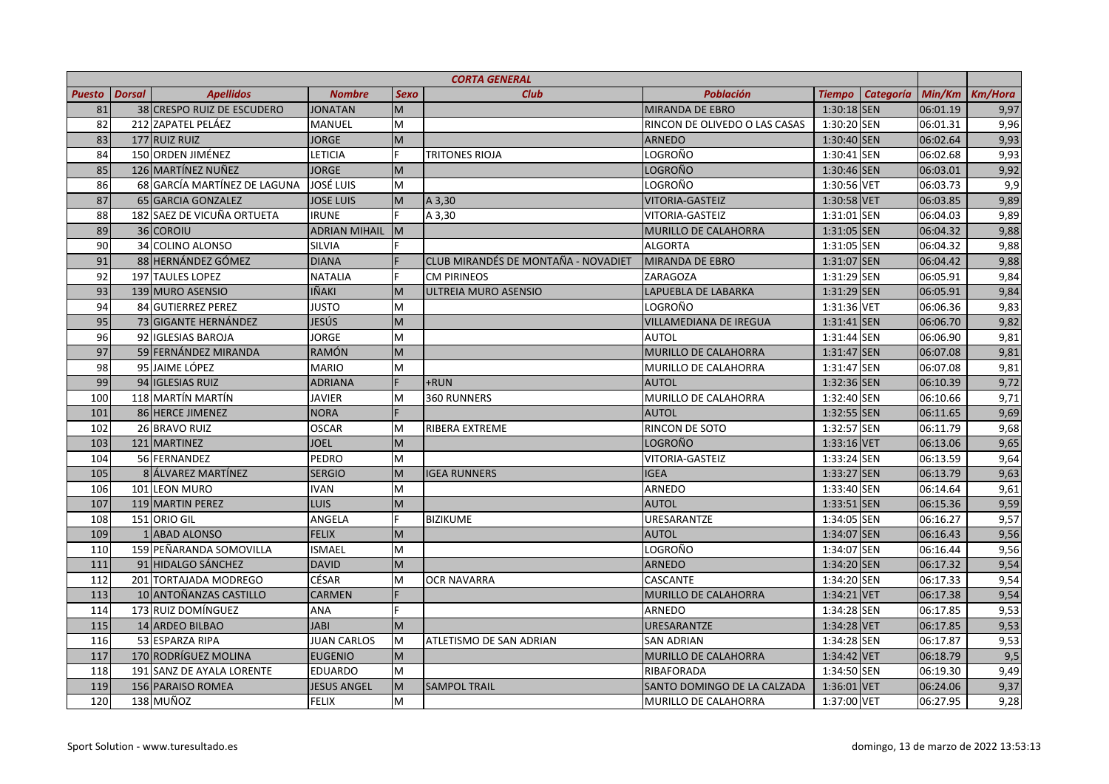| <b>CORTA GENERAL</b> |               |                              |                      |                                                                                                            |                                     |                               |                            |          |                |
|----------------------|---------------|------------------------------|----------------------|------------------------------------------------------------------------------------------------------------|-------------------------------------|-------------------------------|----------------------------|----------|----------------|
| <b>Puesto</b>        | <b>Dorsal</b> | <b>Apellidos</b>             | <b>Nombre</b>        | <b>Sexo</b>                                                                                                | <b>Club</b>                         | <b>Población</b>              | <b>Categoría</b><br>Tiempo | Min/Km   | <b>Km/Hora</b> |
| 81                   |               | 38 CRESPO RUIZ DE ESCUDERO   | <b>JONATAN</b>       | $\overline{M}$                                                                                             |                                     | <b>MIRANDA DE EBRO</b>        | $1:30:18$ SEN              | 06:01.19 | 9,97           |
| 82                   |               | 212 ZAPATEL PELÁEZ           | MANUEL               | M                                                                                                          |                                     | RINCON DE OLIVEDO O LAS CASAS | $1:30:20$ SEN              | 06:01.31 | 9,96           |
| 83                   |               | 177 RUIZ RUIZ                | <b>JORGE</b>         | M                                                                                                          |                                     | <b>ARNEDO</b>                 | 1:30:40 SEN                | 06:02.64 | 9,93           |
| 84                   |               | 150 ORDEN JIMÉNEZ            | LETICIA              | F.                                                                                                         | <b>TRITONES RIOJA</b>               | LOGROÑO                       | 1:30:41 SEN                | 06:02.68 | 9,93           |
| 85                   |               | 126 MARTÍNEZ NUÑEZ           | <b>JORGE</b>         | M                                                                                                          |                                     | LOGROÑO                       | 1:30:46 SEN                | 06:03.01 | 9,92           |
| 86                   |               | 68 GARCÍA MARTÍNEZ DE LAGUNA | <b>JOSÉ LUIS</b>     | M                                                                                                          |                                     | LOGROÑO                       | 1:30:56 VET                | 06:03.73 | 9,9            |
| 87                   |               | 65 GARCIA GONZALEZ           | <b>JOSE LUIS</b>     | M                                                                                                          | A 3,30                              | VITORIA-GASTEIZ               | 1:30:58 VET                | 06:03.85 | 9,89           |
| 88                   |               | 182 SAEZ DE VICUÑA ORTUETA   | <b>IRUNE</b>         |                                                                                                            | A 3,30                              | VITORIA-GASTEIZ               | 1:31:01 SEN                | 06:04.03 | 9,89           |
| 89                   |               | 36 COROIU                    | <b>ADRIAN MIHAIL</b> | M                                                                                                          |                                     | MURILLO DE CALAHORRA          | 1:31:05 SEN                | 06:04.32 | 9,88           |
| 90                   |               | 34 COLINO ALONSO             | <b>SILVIA</b>        |                                                                                                            |                                     | <b>ALGORTA</b>                | 1:31:05 SEN                | 06:04.32 | 9,88           |
| 91                   |               | 88 HERNÁNDEZ GÓMEZ           | <b>DIANA</b>         |                                                                                                            | CLUB MIRANDÉS DE MONTAÑA - NOVADIET | <b>MIRANDA DE EBRO</b>        | 1:31:07 SEN                | 06:04.42 | 9,88           |
| 92                   |               | 197 TAULES LOPEZ             | <b>NATALIA</b>       |                                                                                                            | <b>CM PIRINEOS</b>                  | ZARAGOZA                      | 1:31:29 SEN                | 06:05.91 | 9,84           |
| 93                   |               | 139 MURO ASENSIO             | IÑAKI                | M                                                                                                          | ULTREIA MURO ASENSIO                | LAPUEBLA DE LABARKA           | 1:31:29 SEN                | 06:05.91 | 9,84           |
| 94                   |               | 84 GUTIERREZ PEREZ           | <b>JUSTO</b>         | M                                                                                                          |                                     | LOGROÑO                       | 1:31:36 VET                | 06:06.36 | 9,83           |
| 95                   |               | 73 GIGANTE HERNÁNDEZ         | JESÚS                | M                                                                                                          |                                     | <b>VILLAMEDIANA DE IREGUA</b> | $1:31:41$ SEN              | 06:06.70 | 9,82           |
| 96                   |               | 92 IGLESIAS BAROJA           | <b>JORGE</b>         | M                                                                                                          |                                     | <b>AUTOL</b>                  | 1:31:44 SEN                | 06:06.90 | 9,81           |
| 97                   |               | 59 FERNÁNDEZ MIRANDA         | <b>RAMÓN</b>         | M                                                                                                          |                                     | MURILLO DE CALAHORRA          | 1:31:47 SEN                | 06:07.08 | 9,81           |
| 98                   |               | 95 JAIME LÓPEZ               | <b>MARIO</b>         | M                                                                                                          |                                     | MURILLO DE CALAHORRA          | 1:31:47 SEN                | 06:07.08 | 9,81           |
| 99                   |               | 94 IGLESIAS RUIZ             | <b>ADRIANA</b>       | F                                                                                                          | +RUN                                | <b>AUTOL</b>                  | 1:32:36 SEN                | 06:10.39 | 9,72           |
| 100                  |               | 118 MARTÍN MARTÍN            | <b>JAVIER</b>        | M                                                                                                          | 360 RUNNERS                         | MURILLO DE CALAHORRA          | 1:32:40 SEN                | 06:10.66 | 9,71           |
| 101                  |               | 86 HERCE JIMENEZ             | <b>NORA</b>          |                                                                                                            |                                     | <b>AUTOL</b>                  | 1:32:55 SEN                | 06:11.65 | 9,69           |
| 102                  |               | 26 BRAVO RUIZ                | <b>OSCAR</b>         | M                                                                                                          | RIBERA EXTREME                      | RINCON DE SOTO                | 1:32:57 SEN                | 06:11.79 | 9,68           |
| 103                  |               | 121 MARTINEZ                 | <b>JOEL</b>          | M                                                                                                          |                                     | LOGROÑO                       | $1:33:16$ VET              | 06:13.06 | 9,65           |
| 104                  |               | 56 FERNANDEZ                 | PEDRO                | M                                                                                                          |                                     | VITORIA-GASTEIZ               | 1:33:24 SEN                | 06:13.59 | 9,64           |
| 105                  |               | 8 ÁLVAREZ MARTÍNEZ           | <b>SERGIO</b>        | M                                                                                                          | <b>IGEA RUNNERS</b>                 | <b>IGEA</b>                   | 1:33:27 SEN                | 06:13.79 | 9,63           |
| 106                  |               | 101 LEON MURO                | <b>IVAN</b>          | M                                                                                                          |                                     | <b>ARNEDO</b>                 | 1:33:40 SEN                | 06:14.64 | 9,61           |
| 107                  |               | 119 MARTIN PEREZ             | LUIS                 | $\mathsf{M}% _{T}=\mathsf{M}_{T}\!\left( a,b\right) ,\ \mathsf{M}_{T}=\mathsf{M}_{T}\!\left( a,b\right) ,$ |                                     | <b>AUTOL</b>                  | 1:33:51 SEN                | 06:15.36 | 9,59           |
| 108                  |               | 151 ORIO GIL                 | ANGELA               | F.                                                                                                         | <b>BIZIKUME</b>                     | URESARANTZE                   | 1:34:05 SEN                | 06:16.27 | 9,57           |
| 109                  |               | 1 ABAD ALONSO                | <b>FELIX</b>         | M                                                                                                          |                                     | AUTOL                         | 1:34:07 SEN                | 06:16.43 | 9,56           |
| 110                  |               | 159 PEÑARANDA SOMOVILLA      | <b>ISMAEL</b>        | M                                                                                                          |                                     | LOGROÑO                       | 1:34:07 SEN                | 06:16.44 | 9,56           |
| 111                  |               | 91 HIDALGO SÁNCHEZ           | <b>DAVID</b>         | M                                                                                                          |                                     | <b>ARNEDO</b>                 | 1:34:20 SEN                | 06:17.32 | 9,54           |
| 112                  |               | 201 TORTAJADA MODREGO        | CÉSAR                | M                                                                                                          | <b>OCR NAVARRA</b>                  | <b>CASCANTE</b>               | 1:34:20 SEN                | 06:17.33 | 9,54           |
| 113                  |               | 10 ANTOÑANZAS CASTILLO       | CARMEN               |                                                                                                            |                                     | MURILLO DE CALAHORRA          | 1:34:21 VET                | 06:17.38 | 9,54           |
| 114                  |               | 173 RUIZ DOMÍNGUEZ           | <b>ANA</b>           | F.                                                                                                         |                                     | <b>ARNEDO</b>                 | 1:34:28 SEN                | 06:17.85 | 9,53           |
| 115                  |               | 14 ARDEO BILBAO              | <b>JABI</b>          | M                                                                                                          |                                     | URESARANTZE                   | 1:34:28 VET                | 06:17.85 | 9,53           |
| 116                  |               | 53 ESPARZA RIPA              | <b>JUAN CARLOS</b>   | M                                                                                                          | ATLETISMO DE SAN ADRIAN             | <b>SAN ADRIAN</b>             | 1:34:28 SEN                | 06:17.87 | 9,53           |
| 117                  |               | 170 RODRÍGUEZ MOLINA         | <b>EUGENIO</b>       | M                                                                                                          |                                     | MURILLO DE CALAHORRA          | 1:34:42 VET                | 06:18.79 | 9,5            |
| 118                  |               | 191 SANZ DE AYALA LORENTE    | <b>EDUARDO</b>       | M                                                                                                          |                                     | RIBAFORADA                    | 1:34:50 SEN                | 06:19.30 | 9,49           |
| 119                  |               | 156 PARAISO ROMEA            | <b>JESUS ANGEL</b>   | M                                                                                                          | <b>SAMPOL TRAIL</b>                 | SANTO DOMINGO DE LA CALZADA   | 1:36:01 VET                | 06:24.06 | 9,37           |
| 120                  |               | 138 MUÑOZ                    | <b>FELIX</b>         | M                                                                                                          |                                     | MURILLO DE CALAHORRA          | 1:37:00 VET                | 06:27.95 | 9,28           |